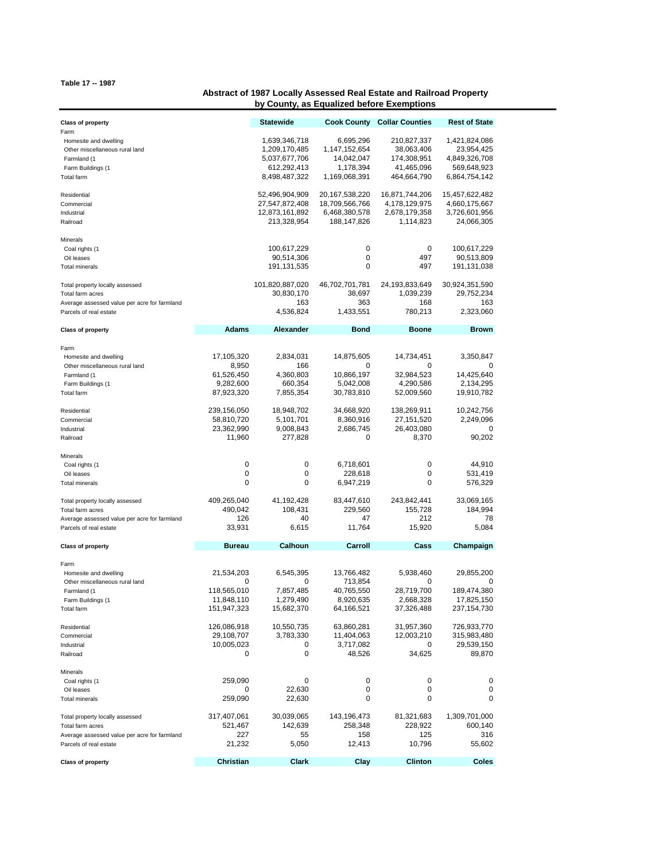## **Table 17 -- 1987**

## **Abstract of 1987 Locally Assessed Real Estate and Railroad Property by County, as Equalized before Exemptions**

| <b>Class of property</b>                                                                                                      |                                                              | <b>Statewide</b>                                                                |                                                                        | <b>Cook County Collar Counties</b>                                    | <b>Rest of State</b>                                                         |
|-------------------------------------------------------------------------------------------------------------------------------|--------------------------------------------------------------|---------------------------------------------------------------------------------|------------------------------------------------------------------------|-----------------------------------------------------------------------|------------------------------------------------------------------------------|
| Farm<br>Homesite and dwelling<br>Other miscellaneous rural land<br>Farmland (1<br>Farm Buildings (1<br>Total farm             |                                                              | 1,639,346,718<br>1,209,170,485<br>5,037,677,706<br>612,292,413<br>8,498,487,322 | 6,695,296<br>1,147,152,654<br>14,042,047<br>1,178,394<br>1,169,068,391 | 210,827,337<br>38,063,406<br>174,308,951<br>41,465,096<br>464,664,790 | 1,421,824,086<br>23,954,425<br>4,849,326,708<br>569,648,923<br>6,864,754,142 |
| Residential<br>Commercial<br>Industrial<br>Railroad                                                                           |                                                              | 52,496,904,909<br>27,547,872,408<br>12,873,161,892<br>213,328,954               | 20, 167, 538, 220<br>18,709,566,766<br>6,468,380,578<br>188, 147, 826  | 16,871,744,206<br>4,178,129,975<br>2,678,179,358<br>1,114,823         | 15,457,622,482<br>4,660,175,667<br>3,726,601,956<br>24,066,305               |
| Minerals<br>Coal rights (1<br>Oil leases<br><b>Total minerals</b>                                                             |                                                              | 100,617,229<br>90,514,306<br>191,131,535                                        | 0<br>0<br>0                                                            | 0<br>497<br>497                                                       | 100,617,229<br>90,513,809<br>191,131,038                                     |
| Total property locally assessed<br>Total farm acres<br>Average assessed value per acre for farmland<br>Parcels of real estate |                                                              | 101,820,887,020<br>30,830,170<br>163<br>4,536,824                               | 46,702,701,781<br>38,697<br>363<br>1,433,551                           | 24,193,833,649<br>1,039,239<br>168<br>780,213                         | 30,924,351,590<br>29,752,234<br>163<br>2,323,060                             |
| <b>Class of property</b>                                                                                                      | <b>Adams</b>                                                 | <b>Alexander</b>                                                                | <b>Bond</b>                                                            | <b>Boone</b>                                                          | <b>Brown</b>                                                                 |
| Farm<br>Homesite and dwelling<br>Other miscellaneous rural land<br>Farmland (1<br>Farm Buildings (1<br>Total farm             | 17,105,320<br>8,950<br>61,526,450<br>9,282,600<br>87,923,320 | 2,834,031<br>166<br>4,360,803<br>660,354<br>7,855,354                           | 14,875,605<br>0<br>10,866,197<br>5,042,008<br>30,783,810               | 14,734,451<br>0<br>32,984,523<br>4,290,586<br>52,009,560              | 3,350,847<br>0<br>14,425,640<br>2,134,295<br>19,910,782                      |
| Residential<br>Commercial<br>Industrial<br>Railroad                                                                           | 239,156,050<br>58,810,720<br>23,362,990<br>11,960            | 18,948,702<br>5,101,701<br>9,008,843<br>277,828                                 | 34,668,920<br>8,360,916<br>2,686,745<br>0                              | 138,269,911<br>27,151,520<br>26,403,080<br>8,370                      | 10,242,756<br>2,249,096<br>0<br>90,202                                       |
| Minerals<br>Coal rights (1<br>Oil leases<br><b>Total minerals</b>                                                             | 0<br>0<br>0                                                  | 0<br>0<br>0                                                                     | 6,718,601<br>228,618<br>6,947,219                                      | 0<br>0<br>0                                                           | 44,910<br>531,419<br>576,329                                                 |
| Total property locally assessed<br>Total farm acres<br>Average assessed value per acre for farmland<br>Parcels of real estate | 409,265,040<br>490,042<br>126<br>33,931                      | 41,192,428<br>108,431<br>40<br>6,615                                            | 83,447,610<br>229,560<br>47<br>11,764                                  | 243,842,441<br>155,728<br>212<br>15,920                               | 33,069,165<br>184,994<br>78<br>5,084                                         |
| <b>Class of property</b>                                                                                                      | <b>Bureau</b>                                                | Calhoun                                                                         | Carroll                                                                | Cass                                                                  | Champaign                                                                    |
| Farm<br>Homesite and dwelling<br>Other miscellaneous rural land<br>Farmland (1<br>Farm Buildings (1<br>Total farm             | 21,534,203<br>0<br>118,565,010<br>11,848,110<br>151,947,323  | 6,545,395<br>0<br>7,857,485<br>1,279,490<br>15,682,370                          | 13,766,482<br>713,854<br>40,765,550<br>8,920,635<br>64,166,521         | 5,938,460<br>0<br>28,719,700<br>2,668,328<br>37,326,488               | 29,855,200<br>0<br>189,474,380<br>17,825,150<br>237, 154, 730                |
| Residential<br>Commercial<br>Industrial<br>Railroad                                                                           | 126,086,918<br>29,108,707<br>10,005,023<br>0                 | 10,550,735<br>3,783,330<br>0<br>0                                               | 63,860,281<br>11,404,063<br>3,717,082<br>48,526                        | 31,957,360<br>12,003,210<br>0<br>34,625                               | 726,933,770<br>315,983,480<br>29,539,150<br>89,870                           |
| Minerals<br>Coal rights (1<br>Oil leases<br><b>Total minerals</b>                                                             | 259,090<br>0<br>259,090                                      | 0<br>22,630<br>22,630                                                           | 0<br>0<br>0                                                            | 0<br>0<br>0                                                           | 0<br>0<br>0                                                                  |
| Total property locally assessed<br>Total farm acres<br>Average assessed value per acre for farmland<br>Parcels of real estate | 317,407,061<br>521,467<br>227<br>21,232                      | 30,039,065<br>142,639<br>55<br>5,050                                            | 143,196,473<br>258,348<br>158<br>12,413                                | 81,321,683<br>228,922<br>125<br>10,796                                | 1,309,701,000<br>600,140<br>316<br>55,602                                    |
| <b>Class of property</b>                                                                                                      | Christian                                                    | Clark                                                                           | Clay                                                                   | <b>Clinton</b>                                                        | Coles                                                                        |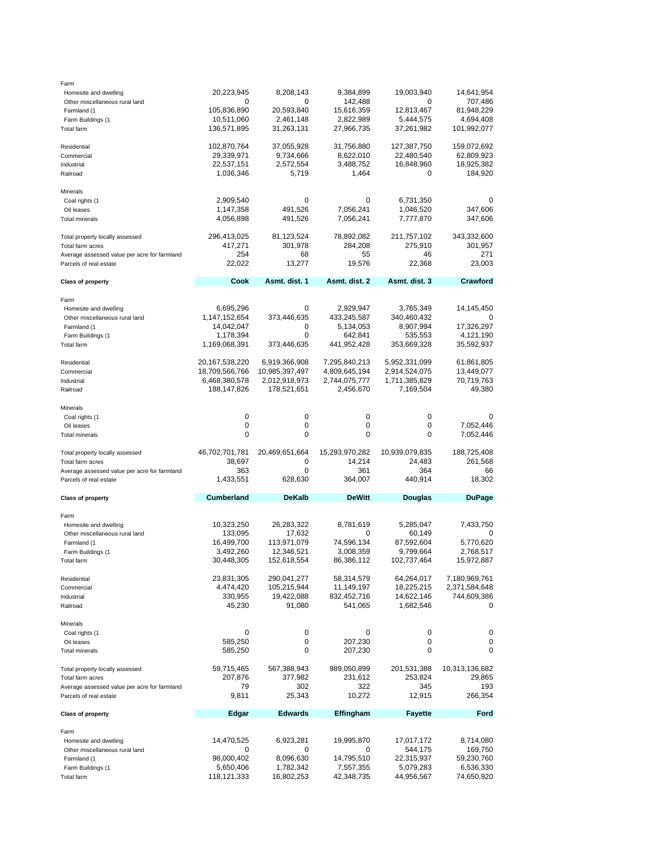| Farm<br>Homesite and dwelling<br>Other miscellaneous rural land<br>Farmland (1<br>Farm Buildings (1                                                          | 20,223,945<br>0<br>105,836,890<br>10,511,060                                                         | 8,208,143<br>0<br>20,593,840<br>2,461,148                                                                    | 9,384,899<br>142,488<br>15,616,359<br>2,822,989                                                           | 19,003,940<br>0<br>12,813,467<br>5,444,575                                                              | 14,641,954<br>707,486<br>81,948,229<br>4,694,408                                                        |
|--------------------------------------------------------------------------------------------------------------------------------------------------------------|------------------------------------------------------------------------------------------------------|--------------------------------------------------------------------------------------------------------------|-----------------------------------------------------------------------------------------------------------|---------------------------------------------------------------------------------------------------------|---------------------------------------------------------------------------------------------------------|
| Total farm<br>Residential<br>Commercial<br>Industrial<br>Railroad                                                                                            | 136,571,895<br>102,870,764<br>29,339,971<br>22,537,151<br>1,036,346                                  | 31,263,131<br>37,055,928<br>9,734,666<br>2,572,554<br>5,719                                                  | 27,966,735<br>31,756,880<br>8,622,010<br>3,488,752<br>1,464                                               | 37,261,982<br>127,387,750<br>22,480,540<br>16,848,960<br>0                                              | 101,992,077<br>159,072,692<br>62,809,923<br>18,925,382<br>184,920                                       |
| Minerals<br>Coal rights (1<br>Oil leases<br><b>Total minerals</b>                                                                                            | 2,909,540<br>1,147,358<br>4,056,898                                                                  | 0<br>491,526<br>491,526                                                                                      | 0<br>7,056,241<br>7,056,241                                                                               | 6,731,350<br>1,046,520<br>7,777,870                                                                     | $\mathbf 0$<br>347,606<br>347,606                                                                       |
| Total property locally assessed<br>Total farm acres<br>Average assessed value per acre for farmland<br>Parcels of real estate                                | 296,413,025<br>417,271<br>254<br>22,022                                                              | 81,123,524<br>301,978<br>68<br>13,277                                                                        | 78,892,082<br>284,208<br>55<br>19,576                                                                     | 211,757,102<br>275,910<br>46<br>22,368                                                                  | 343,332,600<br>301,957<br>271<br>23,003                                                                 |
| <b>Class of property</b>                                                                                                                                     | Cook                                                                                                 | Asmt. dist. 1                                                                                                | Asmt. dist. 2                                                                                             | Asmt. dist. 3                                                                                           | Crawford                                                                                                |
| Farm<br>Homesite and dwelling<br>Other miscellaneous rural land<br>Farmland (1<br>Farm Buildings (1<br>Total farm                                            | 6,695,296<br>1,147,152,654<br>14,042,047<br>1,178,394<br>1,169,068,391                               | 0<br>373,446,635<br>0<br>0<br>373,446,635                                                                    | 2,929,947<br>433,245,587<br>5,134,053<br>642,841<br>441,952,428                                           | 3,765,349<br>340,460,432<br>8,907,994<br>535,553<br>353,669,328                                         | 14,145,450<br>0<br>17,326,297<br>4,121,190<br>35,592,937                                                |
| Residential<br>Commercial<br>Industrial<br>Railroad                                                                                                          | 20,167,538,220<br>18,709,566,766<br>6,468,380,578<br>188, 147, 826                                   | 6,919,366,908<br>10,985,397,497<br>2,012,918,973<br>178,521,651                                              | 7,295,840,213<br>4,809,645,194<br>2,744,075,777<br>2,456,670                                              | 5,952,331,099<br>2,914,524,075<br>1,711,385,829<br>7,169,504                                            | 61,861,805<br>13,449,077<br>70,719,763<br>49,380                                                        |
| Minerals<br>Coal rights (1<br>Oil leases<br>Total minerals                                                                                                   | 0<br>0<br>0                                                                                          | 0<br>0<br>0                                                                                                  | 0<br>0<br>0                                                                                               | 0<br>0<br>0                                                                                             | 0<br>7,052,446<br>7,052,446                                                                             |
| Total property locally assessed<br>Total farm acres<br>Average assessed value per acre for farmland<br>Parcels of real estate                                | 46,702,701,781<br>38,697<br>363<br>1,433,551                                                         | 20,469,651,664<br>$\mathbf 0$<br>0<br>628,630                                                                | 15,293,970,282<br>14,214<br>361<br>364,007                                                                | 10,939,079,835<br>24,483<br>364<br>440,914                                                              | 188,725,408<br>261,568<br>66<br>18,302                                                                  |
| <b>Class of property</b>                                                                                                                                     | Cumberland                                                                                           | <b>DeKalb</b>                                                                                                | <b>DeWitt</b>                                                                                             | Douglas                                                                                                 | <b>DuPage</b>                                                                                           |
| Farm<br>Homesite and dwelling<br>Other miscellaneous rural land<br>Farmland (1<br>Farm Buildings (1<br>Total farm<br>Residential<br>Commercial<br>Industrial | 10,323,250<br>133,095<br>16,499,700<br>3,492,260<br>30,448,305<br>23,831,305<br>4,474,420<br>330,955 | 26,283,322<br>17,632<br>113,971,079<br>12,346,521<br>152,618,554<br>290,041,277<br>105,215,944<br>19,422,088 | 8,781,619<br>$\Omega$<br>74,596,134<br>3,008,359<br>86,386,112<br>58,314,579<br>11,149,197<br>832,452,716 | 5,285,047<br>60,149<br>87,592,604<br>9,799,664<br>102,737,464<br>64,264,017<br>18,225,215<br>14,622,146 | 7,433,750<br>0<br>5,770,620<br>2,768,517<br>15,972,887<br>7,180,969,761<br>2,371,584,648<br>744,609,386 |
| Railroad<br>Minerals<br>Coal rights (1<br>Oil leases                                                                                                         | 45,230<br>0<br>585,250                                                                               | 91,080<br>0<br>0                                                                                             | 541,065<br>0<br>207,230                                                                                   | 1,682,546<br>0<br>0                                                                                     | 0<br>0<br>0                                                                                             |
| <b>Total minerals</b><br>Total property locally assessed<br>Total farm acres                                                                                 | 585,250<br>59,715,465<br>207,876                                                                     | 0<br>567,388,943<br>377,982                                                                                  | 207,230<br>989,050,899<br>231,612                                                                         | 0<br>201,531,388<br>253,824                                                                             | 0<br>10,313,136,682<br>29,865                                                                           |
| Average assessed value per acre for farmland<br>Parcels of real estate                                                                                       | 79<br>9,811                                                                                          | 302<br>25,343                                                                                                | 322<br>10,272                                                                                             | 345<br>12,915                                                                                           | 193<br>266,354                                                                                          |
| <b>Class of property</b>                                                                                                                                     | Edgar                                                                                                | <b>Edwards</b>                                                                                               | Effingham                                                                                                 | <b>Fayette</b>                                                                                          | Ford                                                                                                    |
| Farm<br>Homesite and dwelling<br>Other miscellaneous rural land<br>Farmland (1<br>Farm Buildings (1<br>Total farm                                            | 14,470,525<br>0<br>98,000,402<br>5,650,406<br>118,121,333                                            | 6,923,281<br>0<br>8,096,630<br>1,782,342<br>16,802,253                                                       | 19,995,870<br>0<br>14,795,510<br>7,557,355<br>42,348,735                                                  | 17,017,172<br>544,175<br>22,315,937<br>5,079,283<br>44,956,567                                          | 8,714,080<br>169,750<br>59,230,760<br>6,536,330<br>74,650,920                                           |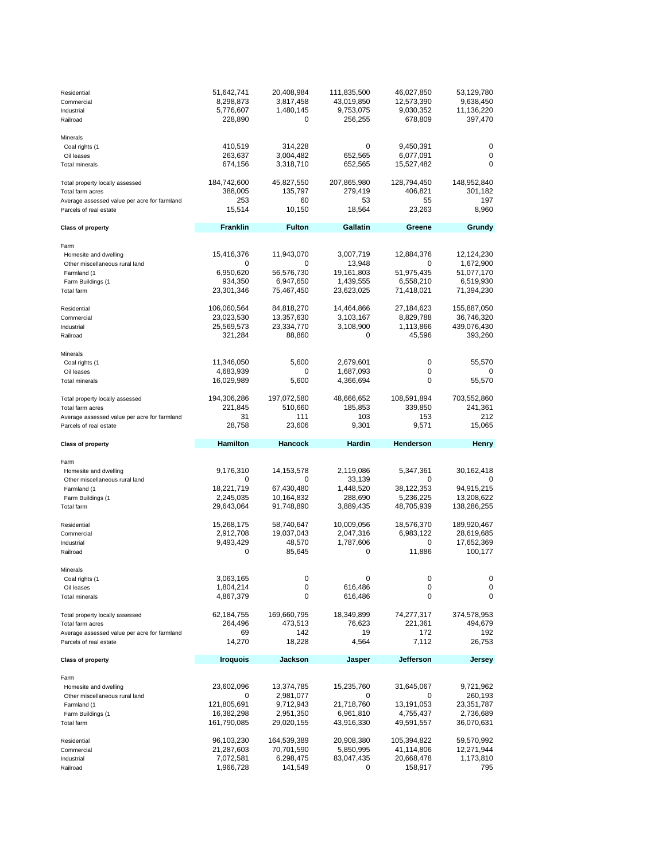| Residential<br>Commercial<br>Industrial<br>Railroad                                                                           | 51,642,741<br>8,298,873<br>5,776,607<br>228,890             | 20,408,984<br>3,817,458<br>1,480,145<br>0                       | 111,835,500<br>43,019,850<br>9,753,075<br>256,255            | 46,027,850<br>12,573,390<br>9,030,352<br>678,809         | 53,129,780<br>9,638,450<br>11,136,220<br>397,470                 |
|-------------------------------------------------------------------------------------------------------------------------------|-------------------------------------------------------------|-----------------------------------------------------------------|--------------------------------------------------------------|----------------------------------------------------------|------------------------------------------------------------------|
| Minerals<br>Coal rights (1<br>Oil leases<br><b>Total minerals</b>                                                             | 410,519<br>263,637<br>674,156                               | 314,228<br>3,004,482<br>3,318,710                               | 0<br>652,565<br>652,565                                      | 9,450,391<br>6,077,091<br>15,527,482                     | 0<br>0<br>0                                                      |
| Total property locally assessed<br>Total farm acres<br>Average assessed value per acre for farmland<br>Parcels of real estate | 184,742,600<br>388,005<br>253<br>15,514                     | 45,827,550<br>135,797<br>60<br>10,150                           | 207,865,980<br>279,419<br>53<br>18,564                       | 128,794,450<br>406,821<br>55<br>23,263                   | 148,952,840<br>301,182<br>197<br>8,960                           |
| <b>Class of property</b>                                                                                                      | <b>Franklin</b>                                             | <b>Fulton</b>                                                   | Gallatin                                                     | Greene                                                   | Grundy                                                           |
| Farm<br>Homesite and dwelling<br>Other miscellaneous rural land<br>Farmland (1<br>Farm Buildings (1<br>Total farm             | 15,416,376<br>0<br>6,950,620<br>934,350<br>23,301,346       | 11,943,070<br>0<br>56,576,730<br>6,947,650<br>75,467,450        | 3,007,719<br>13,948<br>19,161,803<br>1,439,555<br>23,623,025 | 12,884,376<br>0<br>51,975,435<br>6,558,210<br>71,418,021 | 12,124,230<br>1,672,900<br>51,077,170<br>6,519,930<br>71,394,230 |
| Residential<br>Commercial<br>Industrial<br>Railroad                                                                           | 106,060,564<br>23,023,530<br>25,569,573<br>321,284          | 84,818,270<br>13,357,630<br>23,334,770<br>88,860                | 14,464,866<br>3,103,167<br>3,108,900<br>0                    | 27,184,623<br>8,829,788<br>1,113,866<br>45,596           | 155,887,050<br>36,746,320<br>439,076,430<br>393,260              |
| Minerals<br>Coal rights (1<br>Oil leases<br><b>Total minerals</b>                                                             | 11,346,050<br>4,683,939<br>16,029,989                       | 5,600<br>0<br>5,600                                             | 2,679,601<br>1,687,093<br>4,366,694                          | 0<br>0<br>0                                              | 55,570<br>0<br>55,570                                            |
| Total property locally assessed<br>Total farm acres<br>Average assessed value per acre for farmland<br>Parcels of real estate | 194,306,286<br>221,845<br>31<br>28,758                      | 197,072,580<br>510,660<br>111<br>23,606                         | 48,666,652<br>185,853<br>103<br>9,301                        | 108,591,894<br>339,850<br>153<br>9,571                   | 703,552,860<br>241,361<br>212<br>15,065                          |
|                                                                                                                               |                                                             |                                                                 |                                                              |                                                          |                                                                  |
| <b>Class of property</b>                                                                                                      | <b>Hamilton</b>                                             | Hancock                                                         | Hardin                                                       | Henderson                                                | Henry                                                            |
| Farm<br>Homesite and dwelling<br>Other miscellaneous rural land<br>Farmland (1<br>Farm Buildings (1<br>Total farm             | 9,176,310<br>0<br>18,221,719<br>2,245,035<br>29,643,064     | 14,153,578<br>0<br>67,430,480<br>10,164,832<br>91,748,890       | 2,119,086<br>33,139<br>1,448,520<br>288,690<br>3,889,435     | 5,347,361<br>0<br>38,122,353<br>5,236,225<br>48,705,939  | 30,162,418<br>0<br>94,915,215<br>13,208,622<br>138,286,255       |
| Residential<br>Commercial<br>Industrial<br>Railroad                                                                           | 15,268,175<br>2,912,708<br>9,493,429<br>0                   | 58,740,647<br>19,037,043<br>48,570<br>85,645                    | 10,009,056<br>2,047,316<br>1,787,606<br>0                    | 18,576,370<br>6,983,122<br>0<br>11,886                   | 189,920,467<br>28,619,685<br>17,652,369<br>100,177               |
| Minerals<br>Coal rights (1<br>Oil leases<br><b>Total minerals</b>                                                             | 3,063,165<br>1,804,214<br>4,867,379                         | 0<br>0<br>0                                                     | 0<br>616,486<br>616,486                                      | 0<br>0<br>0                                              | 0<br>0<br>0                                                      |
| Total property locally assessed<br>Total farm acres<br>Average assessed value per acre for farmland<br>Parcels of real estate | 62,184,755<br>264,496<br>69<br>14,270                       | 169,660,795<br>473,513<br>142<br>18,228                         | 18,349,899<br>76,623<br>19<br>4,564                          | 74,277,317<br>221,361<br>172<br>7,112                    | 374,578,953<br>494,679<br>192<br>26,753                          |
| <b>Class of property</b>                                                                                                      | Iroquois                                                    | Jackson                                                         | Jasper                                                       | Jefferson                                                | Jersey                                                           |
| Farm<br>Homesite and dwelling<br>Other miscellaneous rural land<br>Farmland (1<br>Farm Buildings (1<br>Total farm             | 23,602,096<br>0<br>121,805,691<br>16,382,298<br>161,790,085 | 13,374,785<br>2,981,077<br>9,712,943<br>2,951,350<br>29,020,155 | 15,235,760<br>0<br>21,718,760<br>6,961,810<br>43,916,330     | 31,645,067<br>0<br>13,191,053<br>4,755,437<br>49,591,557 | 9,721,962<br>260,193<br>23,351,787<br>2,736,689<br>36,070,631    |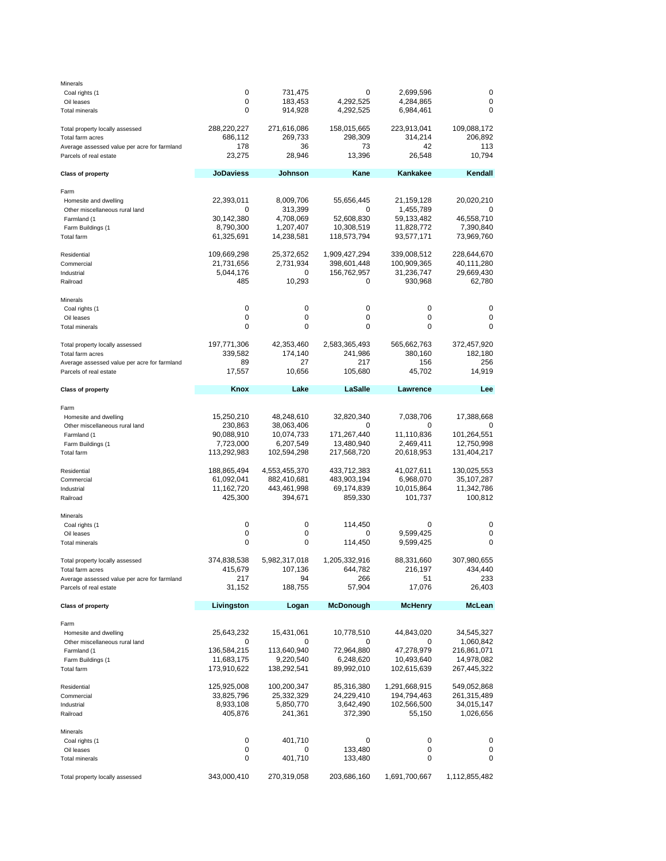| Minerals                                     |                  |               |               |                |               |
|----------------------------------------------|------------------|---------------|---------------|----------------|---------------|
| Coal rights (1                               | 0                | 731,475       | 0             | 2,699,596      | 0             |
| Oil leases                                   | 0                | 183,453       | 4,292,525     | 4,284,865      | 0             |
| <b>Total minerals</b>                        | 0                | 914,928       | 4,292,525     | 6,984,461      | 0             |
| Total property locally assessed              | 288,220,227      | 271,616,086   | 158,015,665   | 223,913,041    | 109,088,172   |
| Total farm acres                             | 686,112          | 269,733       | 298,309       | 314,214        | 206,892       |
| Average assessed value per acre for farmland | 178              | 36            | 73            | 42             | 113           |
| Parcels of real estate                       | 23,275           | 28,946        | 13,396        | 26,548         | 10,794        |
| <b>Class of property</b>                     | <b>JoDaviess</b> | Johnson       | Kane          | Kankakee       | Kendall       |
| Farm                                         |                  |               |               |                |               |
| Homesite and dwelling                        | 22,393,011       | 8,009,706     | 55,656,445    | 21,159,128     | 20,020,210    |
| Other miscellaneous rural land               | 0                | 313,399       | 0             | 1,455,789      | 0             |
| Farmland (1                                  | 30,142,380       | 4,708,069     | 52,608,830    | 59,133,482     | 46,558,710    |
| Farm Buildings (1                            | 8,790,300        | 1,207,407     | 10,308,519    | 11,828,772     | 7,390,840     |
| Total farm                                   | 61,325,691       | 14,238,581    | 118,573,794   | 93,577,171     | 73,969,760    |
| Residential                                  | 109,669,298      | 25,372,652    | 1,909,427,294 | 339,008,512    | 228,644,670   |
| Commercial                                   | 21,731,656       | 2,731,934     | 398,601,448   | 100,909,365    | 40,111,280    |
| Industrial                                   | 5,044,176        | 0             | 156,762,957   | 31,236,747     | 29,669,430    |
| Railroad                                     | 485              | 10,293        | 0             | 930,968        | 62,780        |
| Minerals                                     |                  |               |               |                |               |
| Coal rights (1                               | 0                | 0             | 0             | 0              | 0             |
| Oil leases                                   | 0                | 0             | 0             | 0              | 0             |
| <b>Total minerals</b>                        | $\mathbf 0$      | 0             | 0             | 0              | 0             |
| Total property locally assessed              | 197,771,306      | 42,353,460    | 2,583,365,493 | 565,662,763    | 372,457,920   |
| Total farm acres                             | 339,582          | 174,140       | 241,986       | 380,160        | 182,180       |
| Average assessed value per acre for farmland | 89               | 27            | 217           | 156            | 256           |
| Parcels of real estate                       | 17,557           | 10,656        | 105,680       | 45,702         | 14,919        |
| <b>Class of property</b>                     | Knox             | Lake          | LaSalle       | Lawrence       | Lee           |
|                                              |                  |               |               |                |               |
| Farm                                         |                  |               |               |                |               |
| Homesite and dwelling                        | 15,250,210       | 48,248,610    | 32,820,340    | 7,038,706      | 17,388,668    |
| Other miscellaneous rural land               | 230,863          | 38,063,406    | 0             | 0              | O             |
| Farmland (1                                  | 90,088,910       | 10,074,733    | 171,267,440   | 11,110,836     | 101,264,551   |
| Farm Buildings (1                            | 7,723,000        | 6,207,549     | 13,480,940    | 2,469,411      | 12,750,998    |
| Total farm                                   | 113,292,983      | 102,594,298   | 217,568,720   | 20,618,953     | 131,404,217   |
| Residential                                  | 188,865,494      | 4,553,455,370 | 433,712,383   | 41,027,611     | 130,025,553   |
| Commercial                                   | 61,092,041       | 882,410,681   | 483,903,194   | 6,968,070      | 35,107,287    |
| Industrial                                   | 11,162,720       | 443,461,998   | 69,174,839    | 10,015,864     | 11,342,786    |
| Railroad                                     | 425,300          | 394,671       | 859,330       | 101,737        | 100,812       |
| Minerals                                     |                  |               |               |                |               |
| Coal rights (1                               | 0                | 0             | 114,450       | 0              | 0             |
| Oil leases                                   | 0                | 0             | 0             | 9,599,425      | 0             |
| Total minerals                               | 0                | 0             | 114,450       | 9,599,425      | 0             |
| Total property locally assessed              | 374,838,538      | 5,982,317,018 | 1,205,332,916 | 88,331,660     | 307,980,655   |
| Total farm acres                             | 415,679          | 107,136       | 644,782       | 216,197        | 434,440       |
| Average assessed value per acre for farmland | 217              | 94            | 266           | 51             | 233           |
| Parcels of real estate                       | 31,152           | 188,755       | 57,904        | 17,076         | 26,403        |
| <b>Class of property</b>                     | Livingston       | Logan         | McDonough     | <b>McHenry</b> | McLean        |
| Farm                                         |                  |               |               |                |               |
| Homesite and dwelling                        | 25,643,232       | 15,431,061    | 10,778,510    | 44,843,020     | 34,545,327    |
| Other miscellaneous rural land               | 0                | 0             | 0             | 0              | 1,060,842     |
| Farmland (1                                  | 136,584,215      | 113,640,940   | 72,964,880    | 47,278,979     | 216,861,071   |
| Farm Buildings (1                            | 11,683,175       | 9,220,540     | 6,248,620     | 10,493,640     | 14,978,082    |
| Total farm                                   | 173,910,622      | 138,292,541   | 89,992,010    | 102,615,639    | 267,445,322   |
| Residential                                  | 125,925,008      | 100,200,347   | 85,316,380    | 1,291,668,915  | 549,052,868   |
| Commercial                                   | 33,825,796       | 25,332,329    | 24,229,410    | 194,794,463    | 261,315,489   |
| Industrial                                   | 8,933,108        | 5,850,770     | 3,642,490     | 102,566,500    | 34,015,147    |
| Railroad                                     | 405,876          | 241,361       | 372,390       | 55,150         | 1,026,656     |
| Minerals                                     |                  |               |               |                |               |
| Coal rights (1                               | 0                | 401,710       | 0             | 0              | 0             |
| Oil leases                                   | 0                | 0             | 133,480       | 0              | 0             |
| <b>Total minerals</b>                        | 0                | 401,710       | 133,480       | 0              | 0             |
| Total property locally assessed              | 343,000,410      | 270,319,058   | 203,686,160   | 1,691,700,667  | 1,112,855,482 |
|                                              |                  |               |               |                |               |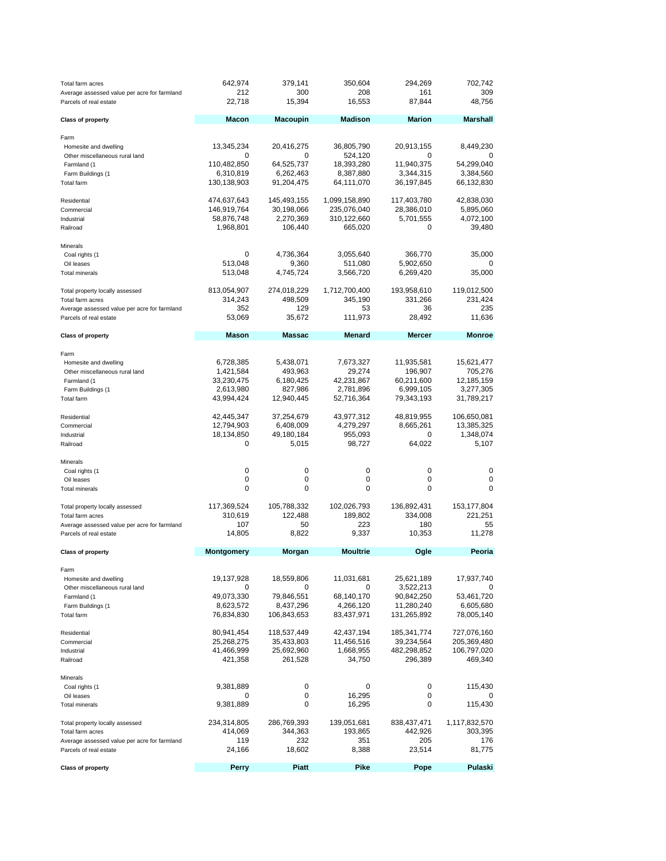| Total farm acres<br>Average assessed value per acre for farmland<br>Parcels of real estate                                       | 642,974<br>212<br>22,718                                                      | 379,141<br>300<br>15,394                                                 | 350,604<br>208<br>16,553                                                   | 294,269<br>161<br>87,844                                                     | 702,742<br>309<br>48,756                                                      |
|----------------------------------------------------------------------------------------------------------------------------------|-------------------------------------------------------------------------------|--------------------------------------------------------------------------|----------------------------------------------------------------------------|------------------------------------------------------------------------------|-------------------------------------------------------------------------------|
| <b>Class of property</b>                                                                                                         | <b>Macon</b>                                                                  | <b>Macoupin</b>                                                          | <b>Madison</b>                                                             | <b>Marion</b>                                                                | <b>Marshall</b>                                                               |
| Farm<br>Homesite and dwelling<br>Other miscellaneous rural land<br>Farmland (1<br>Farm Buildings (1<br>Total farm                | 13,345,234<br>0<br>110,482,850<br>6,310,819<br>130,138,903                    | 20,416,275<br>0<br>64,525,737<br>6,262,463<br>91,204,475                 | 36,805,790<br>524,120<br>18,393,280<br>8,387,880<br>64,111,070             | 20,913,155<br>0<br>11,940,375<br>3,344,315<br>36,197,845                     | 8,449,230<br>54,299,040<br>3,384,560<br>66,132,830                            |
| Residential<br>Commercial<br>Industrial<br>Railroad                                                                              | 474,637,643<br>146,919,764<br>58,876,748<br>1,968,801                         | 145,493,155<br>30,198,066<br>2,270,369<br>106,440                        | 1,099,158,890<br>235,076,040<br>310,122,660<br>665,020                     | 117,403,780<br>28,386,010<br>5,701,555<br>0                                  | 42,838,030<br>5,895,060<br>4,072,100<br>39,480                                |
| Minerals<br>Coal rights (1<br>Oil leases<br><b>Total minerals</b>                                                                | 0<br>513,048<br>513,048                                                       | 4,736,364<br>9,360<br>4,745,724                                          | 3,055,640<br>511,080<br>3,566,720                                          | 366,770<br>5,902,650<br>6,269,420                                            | 35,000<br>0<br>35,000                                                         |
| Total property locally assessed<br>Total farm acres<br>Average assessed value per acre for farmland<br>Parcels of real estate    | 813,054,907<br>314,243<br>352<br>53,069                                       | 274,018,229<br>498,509<br>129<br>35,672                                  | 1,712,700,400<br>345,190<br>53<br>111,973                                  | 193,958,610<br>331,266<br>36<br>28,492                                       | 119,012,500<br>231,424<br>235<br>11,636                                       |
| <b>Class of property</b>                                                                                                         | Mason                                                                         | Massac                                                                   | <b>Menard</b>                                                              | <b>Mercer</b>                                                                | <b>Monroe</b>                                                                 |
| Farm<br>Homesite and dwelling<br>Other miscellaneous rural land<br>Farmland (1<br>Farm Buildings (1<br>Total farm<br>Residential | 6,728,385<br>1,421,584<br>33,230,475<br>2,613,980<br>43,994,424<br>42,445,347 | 5,438,071<br>493,963<br>6,180,425<br>827,986<br>12,940,445<br>37,254,679 | 7,673,327<br>29,274<br>42,231,867<br>2,781,896<br>52,716,364<br>43,977,312 | 11,935,581<br>196,907<br>60,211,600<br>6,999,105<br>79,343,193<br>48,819,955 | 15,621,477<br>705,276<br>12,185,159<br>3,277,305<br>31,789,217<br>106,650,081 |
| Commercial<br>Industrial<br>Railroad                                                                                             | 12,794,903<br>18,134,850<br>0                                                 | 6,408,009<br>49,180,184<br>5,015                                         | 4,279,297<br>955,093<br>98,727                                             | 8,665,261<br>0<br>64,022                                                     | 13,385,325<br>1,348,074<br>5,107                                              |
| Minerals<br>Coal rights (1<br>Oil leases<br><b>Total minerals</b>                                                                | 0<br>0<br>0                                                                   | 0<br>0<br>0                                                              | 0<br>0<br>0                                                                | 0<br>0<br>$\mathbf 0$                                                        | 0<br>0<br>0                                                                   |
| Total property locally assessed<br>Total farm acres<br>Average assessed value per acre for farmland<br>Parcels of real estate    | 117,369,524<br>310,619<br>107<br>14,805                                       | 105,788,332<br>122,488<br>50<br>8,822                                    | 102,026,793<br>189,802<br>223<br>9,337                                     | 136,892,431<br>334,008<br>180<br>10,353                                      | 153,177,804<br>221,251<br>55<br>11,278                                        |
| <b>Class of property</b>                                                                                                         | <b>Montgomery</b>                                                             | Morgan                                                                   | <b>Moultrie</b>                                                            | Ogle                                                                         | Peoria                                                                        |
| Farm<br>Homesite and dwelling<br>Other miscellaneous rural land<br>Farmland (1<br>Farm Buildings (1<br>Total farm                | 19,137,928<br>$\Omega$<br>49,073,330<br>8,623,572<br>76,834,830               | 18,559,806<br>0<br>79,846,551<br>8,437,296<br>106,843,653                | 11,031,681<br>0<br>68,140,170<br>4,266,120<br>83,437,971                   | 25,621,189<br>3,522,213<br>90,842,250<br>11,280,240<br>131,265,892           | 17,937,740<br>53,461,720<br>6,605,680<br>78,005,140                           |
| Residential<br>Commercial<br>Industrial<br>Railroad                                                                              | 80,941,454<br>25,268,275<br>41,466,999<br>421,358                             | 118,537,449<br>35,433,803<br>25,692,960<br>261,528                       | 42,437,194<br>11,456,516<br>1,668,955<br>34,750                            | 185,341,774<br>39,234,564<br>482,298,852<br>296,389                          | 727,076,160<br>205,369,480<br>106,797,020<br>469,340                          |
| Minerals<br>Coal rights (1<br>Oil leases<br><b>Total minerals</b>                                                                | 9,381,889<br>0<br>9,381,889                                                   | 0<br>0<br>0                                                              | 0<br>16,295<br>16,295                                                      | 0<br>0<br>0                                                                  | 115,430<br>0<br>115,430                                                       |
| Total property locally assessed<br>Total farm acres<br>Average assessed value per acre for farmland<br>Parcels of real estate    | 234,314,805<br>414,069<br>119<br>24,166                                       | 286,769,393<br>344,363<br>232<br>18,602                                  | 139,051,681<br>193,865<br>351<br>8,388                                     | 838,437,471<br>442,926<br>205<br>23,514                                      | 1,117,832,570<br>303,395<br>176<br>81,775                                     |
| <b>Class of property</b>                                                                                                         | <b>Perry</b>                                                                  | <b>Piatt</b>                                                             | Pike                                                                       | Pope                                                                         | Pulaski                                                                       |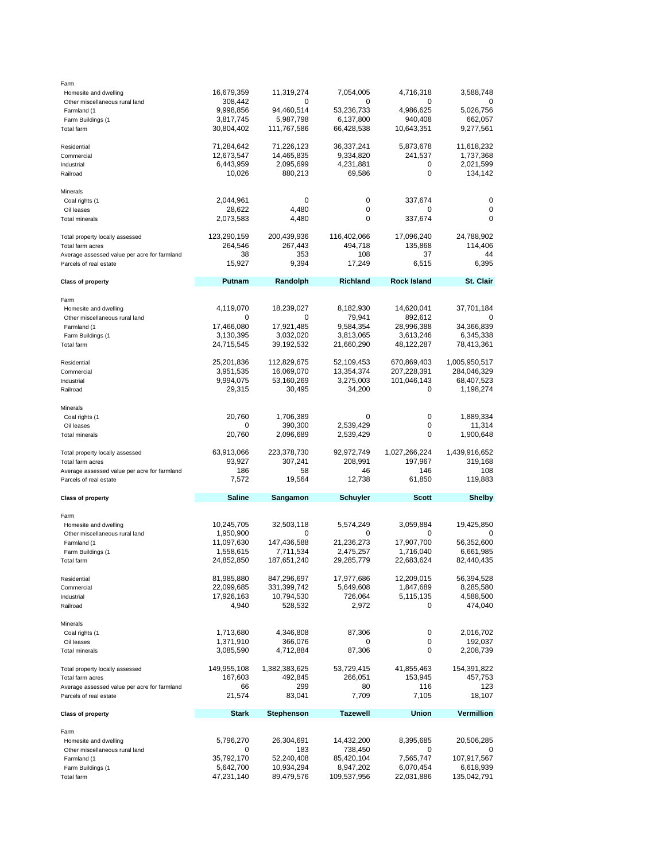| Farm                                         |                         |                   |                 |                    |                   |
|----------------------------------------------|-------------------------|-------------------|-----------------|--------------------|-------------------|
| Homesite and dwelling                        | 16,679,359              | 11,319,274        | 7,054,005       | 4,716,318          | 3,588,748         |
| Other miscellaneous rural land               | 308,442                 | O                 | 0               | O                  |                   |
| Farmland (1                                  | 9,998,856               | 94,460,514        | 53,236,733      | 4,986,625          | 5,026,756         |
| Farm Buildings (1                            | 3,817,745               | 5,987,798         | 6,137,800       | 940,408            | 662,057           |
| Total farm                                   | 30,804,402              | 111,767,586       | 66,428,538      | 10,643,351         | 9,277,561         |
|                                              |                         |                   |                 |                    |                   |
|                                              |                         |                   |                 |                    |                   |
| Residential                                  | 71,284,642              | 71,226,123        | 36,337,241      | 5,873,678          | 11,618,232        |
| Commercial                                   | 12,673,547              | 14,465,835        | 9,334,820       | 241,537            | 1,737,368         |
| Industrial                                   | 6,443,959               | 2,095,699         | 4,231,881       | 0                  | 2,021,599         |
| Railroad                                     | 10,026                  | 880,213           | 69,586          | $\mathbf 0$        | 134,142           |
|                                              |                         |                   |                 |                    |                   |
| Minerals                                     |                         |                   |                 |                    |                   |
| Coal rights (1                               | 2,044,961               | 0                 | 0               | 337,674            | 0                 |
| Oil leases                                   | 28,622                  | 4,480             | 0               | 0                  | 0                 |
| Total minerals                               | 2,073,583               | 4,480             | 0               | 337,674            | 0                 |
|                                              |                         |                   |                 |                    |                   |
| Total property locally assessed              | 123,290,159             | 200,439,936       | 116,402,066     | 17,096,240         | 24,788,902        |
|                                              |                         |                   |                 |                    |                   |
| Total farm acres                             | 264,546                 | 267,443           | 494,718         | 135,868            | 114,406           |
| Average assessed value per acre for farmland | 38                      | 353               | 108             | 37                 | 44                |
| Parcels of real estate                       | 15,927                  | 9,394             | 17,249          | 6,515              | 6,395             |
|                                              |                         |                   |                 |                    |                   |
| <b>Class of property</b>                     | Putnam                  | Randolph          | <b>Richland</b> | <b>Rock Island</b> | St. Clair         |
|                                              |                         |                   |                 |                    |                   |
| Farm                                         |                         |                   |                 |                    |                   |
| Homesite and dwelling                        | 4,119,070               | 18,239,027        | 8,182,930       | 14,620,041         | 37,701,184        |
| Other miscellaneous rural land               | 0                       | 0                 | 79,941          | 892,612            | 0                 |
| Farmland (1                                  | 17,466,080              | 17,921,485        | 9,584,354       | 28,996,388         | 34,366,839        |
|                                              |                         |                   |                 |                    |                   |
| Farm Buildings (1                            | 3,130,395               | 3,032,020         | 3,813,065       | 3,613,246          | 6,345,338         |
| <b>Total farm</b>                            | 24,715,545              | 39,192,532        | 21,660,290      | 48,122,287         | 78,413,361        |
|                                              |                         |                   |                 |                    |                   |
| Residential                                  | 25,201,836              | 112,829,675       | 52,109,453      | 670,869,403        | 1,005,950,517     |
| Commercial                                   | 3,951,535               | 16,069,070        | 13,354,374      | 207,228,391        | 284,046,329       |
| Industrial                                   | 9,994,075               | 53,160,269        | 3,275,003       | 101,046,143        | 68,407,523        |
| Railroad                                     | 29,315                  | 30,495            | 34,200          | 0                  | 1,198,274         |
|                                              |                         |                   |                 |                    |                   |
| Minerals                                     |                         |                   |                 |                    |                   |
|                                              | 20,760                  | 1,706,389         | 0               | 0                  | 1,889,334         |
| Coal rights (1                               |                         |                   |                 |                    |                   |
| Oil leases                                   | 0                       | 390,300           | 2,539,429       | 0                  | 11,314            |
| <b>Total minerals</b>                        | 20,760                  | 2,096,689         | 2,539,429       | 0                  | 1,900,648         |
|                                              |                         |                   |                 |                    |                   |
|                                              |                         |                   |                 |                    |                   |
| Total property locally assessed              | 63,913,066              | 223,378,730       | 92,972,749      | 1,027,266,224      | 1,439,916,652     |
| Total farm acres                             | 93,927                  | 307,241           | 208,991         | 197,967            | 319,168           |
|                                              | 186                     | 58                | 46              | 146                | 108               |
| Average assessed value per acre for farmland |                         |                   |                 |                    |                   |
| Parcels of real estate                       | 7,572                   | 19,564            | 12,738          | 61,850             | 119,883           |
|                                              |                         |                   |                 |                    |                   |
| <b>Class of property</b>                     | <b>Saline</b>           | Sangamon          | <b>Schuyler</b> | <b>Scott</b>       | <b>Shelby</b>     |
|                                              |                         |                   |                 |                    |                   |
| Farm                                         |                         |                   |                 |                    |                   |
| Homesite and dwelling                        | 10,245,705              | 32,503,118        | 5,574,249       | 3,059,884          | 19,425,850        |
| Other miscellaneous rural land               | 1,950,900               | 0                 | 0               | 0                  | 0                 |
| Farmland (1                                  | 11,097,630              | 147,436,588       | 21,236,273      | 17,907,700         | 56,352,600        |
| Farm Buildings (1                            | 1,558,615               | 7,711,534         | 2,475,257       | 1,716,040          | 6,661,985         |
| <b>Total farm</b>                            | 24,852,850              | 187,651,240       | 29,285,779      | 22,683,624         | 82,440,435        |
|                                              |                         |                   |                 |                    |                   |
| Residential                                  |                         | 847,296,697       | 17,977,686      |                    |                   |
|                                              | 81,985,880              |                   |                 | 12,209,015         | 56,394,528        |
| Commercial                                   | 22,099,685              | 331,399,742       | 5,649,608       | 1,847,689          | 8,285,580         |
| Industrial                                   | 17,926,163              | 10,794,530        | 726,064         | 5,115,135          | 4,588,500         |
| Railroad                                     | 4,940                   | 528,532           | 2,972           | 0                  | 474,040           |
|                                              |                         |                   |                 |                    |                   |
| Minerals                                     |                         |                   |                 |                    |                   |
| Coal rights (1                               | 1,713,680               | 4,346,808         | 87,306          | 0                  | 2,016,702         |
| Oil leases                                   | 1,371,910               | 366,076           | 0               | 0                  | 192,037           |
| <b>Total minerals</b>                        | 3,085,590               | 4,712,884         | 87,306          | 0                  | 2,208,739         |
|                                              |                         |                   |                 |                    |                   |
| Total property locally assessed              | 149,955,108             | 1,382,383,625     | 53,729,415      | 41,855,463         | 154,391,822       |
| Total farm acres                             | 167,603                 |                   | 266,051         |                    |                   |
|                                              |                         | 492,845           |                 | 153,945            | 457,753           |
| Average assessed value per acre for farmland | 66                      | 299               | 80              | 116                | 123               |
| Parcels of real estate                       | 21,574                  | 83,041            | 7,709           | 7,105              | 18,107            |
|                                              |                         |                   |                 |                    |                   |
| <b>Class of property</b>                     | Stark                   | <b>Stephenson</b> | <b>Tazewell</b> | Union              | <b>Vermillion</b> |
|                                              |                         |                   |                 |                    |                   |
| Farm                                         |                         |                   |                 |                    |                   |
| Homesite and dwelling                        | 5,796,270               | 26,304,691        | 14,432,200      | 8,395,685          | 20,506,285        |
| Other miscellaneous rural land               | 0                       | 183               | 738,450         | 0                  | 0                 |
| Farmland (1                                  | 35,792,170              | 52,240,408        | 85,420,104      | 7,565,747          | 107,917,567       |
| Farm Buildings (1                            |                         | 10,934,294        | 8,947,202       | 6,070,454          | 6,618,939         |
| Total farm                                   | 5,642,700<br>47,231,140 | 89,479,576        | 109,537,956     | 22,031,886         | 135,042,791       |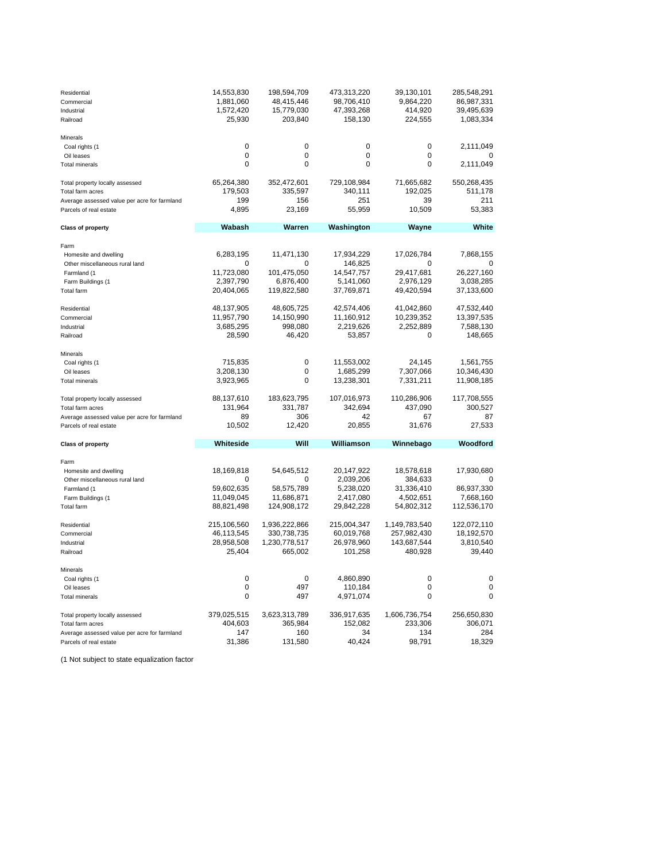| Residential<br>Commercial<br>Industrial<br>Railroad                    | 14,553,830<br>1,881,060<br>1,572,420<br>25,930 | 198,594,709<br>48,415,446<br>15,779,030<br>203,840 | 473,313,220<br>98,706,410<br>47,393,268<br>158,130 | 39,130,101<br>9,864,220<br>414,920<br>224,555 | 285,548,291<br>86,987,331<br>39,495,639<br>1,083,334 |
|------------------------------------------------------------------------|------------------------------------------------|----------------------------------------------------|----------------------------------------------------|-----------------------------------------------|------------------------------------------------------|
| <b>Minerals</b>                                                        |                                                |                                                    |                                                    |                                               |                                                      |
| Coal rights (1                                                         | 0                                              | $\mathbf 0$                                        | 0                                                  | 0                                             | 2,111,049                                            |
| Oil leases                                                             | 0                                              | $\mathbf 0$                                        | 0                                                  | $\Omega$                                      |                                                      |
| <b>Total minerals</b>                                                  | $\mathbf 0$                                    | $\mathbf 0$                                        | 0                                                  | $\mathbf 0$                                   | 2,111,049                                            |
| Total property locally assessed                                        | 65,264,380                                     | 352,472,601                                        | 729,108,984                                        | 71,665,682                                    | 550,268,435                                          |
| Total farm acres                                                       | 179,503                                        | 335,597                                            | 340,111                                            | 192,025                                       | 511,178                                              |
| Average assessed value per acre for farmland<br>Parcels of real estate | 199<br>4,895                                   | 156<br>23,169                                      | 251<br>55,959                                      | 39<br>10,509                                  | 211<br>53,383                                        |
|                                                                        |                                                |                                                    |                                                    |                                               |                                                      |
| <b>Class of property</b>                                               | Wabash                                         | Warren                                             | Washington                                         | Wayne                                         | White                                                |
| Farm                                                                   |                                                |                                                    |                                                    |                                               |                                                      |
| Homesite and dwelling                                                  | 6,283,195                                      | 11,471,130                                         | 17,934,229                                         | 17,026,784                                    | 7,868,155                                            |
| Other miscellaneous rural land                                         | 0                                              | 0                                                  | 146,825                                            | $\Omega$                                      | $\Omega$                                             |
| Farmland (1                                                            | 11,723,080                                     | 101,475,050                                        | 14,547,757                                         | 29,417,681                                    | 26,227,160                                           |
| Farm Buildings (1                                                      | 2,397,790                                      | 6,876,400                                          | 5,141,060                                          | 2,976,129                                     | 3,038,285                                            |
| Total farm                                                             | 20,404,065                                     | 119,822,580                                        | 37,769,871                                         | 49,420,594                                    | 37,133,600                                           |
| Residential                                                            | 48,137,905                                     | 48,605,725                                         | 42,574,406                                         | 41,042,860                                    | 47,532,440                                           |
| Commercial                                                             | 11,957,790                                     | 14,150,990                                         | 11,160,912                                         | 10,239,352                                    | 13,397,535                                           |
| Industrial                                                             | 3,685,295                                      | 998,080                                            | 2,219,626                                          | 2,252,889                                     | 7,588,130                                            |
| Railroad                                                               | 28,590                                         | 46,420                                             | 53,857                                             | 0                                             | 148,665                                              |
| Minerals                                                               |                                                |                                                    |                                                    |                                               |                                                      |
| Coal rights (1                                                         | 715,835                                        | $\mathbf 0$                                        | 11,553,002                                         | 24,145                                        | 1,561,755                                            |
| Oil leases                                                             | 3,208,130                                      | 0                                                  | 1,685,299                                          | 7,307,066                                     | 10,346,430                                           |
| <b>Total minerals</b>                                                  | 3,923,965                                      | $\mathbf 0$                                        | 13,238,301                                         | 7,331,211                                     | 11,908,185                                           |
| Total property locally assessed                                        | 88,137,610                                     | 183,623,795                                        | 107,016,973                                        | 110,286,906                                   | 117,708,555                                          |
| Total farm acres                                                       | 131,964                                        | 331,787                                            | 342,694                                            | 437,090                                       | 300,527                                              |
| Average assessed value per acre for farmland                           | 89                                             | 306                                                | 42                                                 | 67                                            | 87                                                   |
| Parcels of real estate                                                 | 10,502                                         | 12,420                                             | 20,855                                             | 31,676                                        | 27,533                                               |
| <b>Class of property</b>                                               | Whiteside                                      | Will                                               | Williamson                                         | Winnebago                                     | Woodford                                             |
| Farm                                                                   |                                                |                                                    |                                                    |                                               |                                                      |
| Homesite and dwelling                                                  | 18,169,818                                     | 54,645,512                                         | 20,147,922                                         | 18,578,618                                    | 17,930,680                                           |
| Other miscellaneous rural land                                         | O                                              | $\mathbf 0$                                        | 2,039,206                                          | 384,633                                       | O                                                    |
| Farmland (1                                                            | 59,602,635                                     | 58,575,789                                         | 5,238,020                                          | 31,336,410                                    | 86,937,330                                           |
| Farm Buildings (1                                                      | 11,049,045                                     | 11,686,871                                         | 2,417,080                                          | 4,502,651                                     | 7,668,160                                            |
| Total farm                                                             | 88,821,498                                     | 124,908,172                                        | 29,842,228                                         | 54,802,312                                    | 112,536,170                                          |
| Residential                                                            | 215,106,560                                    | 1,936,222,866                                      | 215,004,347                                        | 1,149,783,540                                 | 122,072,110                                          |
| Commercial                                                             | 46,113,545                                     | 330,738,735                                        | 60,019,768                                         | 257,982,430                                   | 18,192,570                                           |
| Industrial                                                             | 28,958,508                                     | 1,230,778,517                                      | 26,978,960                                         | 143,687,544                                   | 3,810,540                                            |
| Railroad                                                               | 25,404                                         | 665,002                                            | 101,258                                            | 480,928                                       | 39,440                                               |
| Minerals                                                               |                                                |                                                    |                                                    |                                               |                                                      |
| Coal rights (1                                                         | 0                                              | $\Omega$                                           | 4,860,890                                          | $\Omega$                                      | $\mathbf 0$                                          |
| Oil leases                                                             | 0                                              | 497                                                | 110,184                                            | 0                                             | $\mathbf 0$                                          |
| <b>Total minerals</b>                                                  | 0                                              | 497                                                | 4,971,074                                          | $\mathbf 0$                                   | 0                                                    |
| Total property locally assessed                                        | 379,025,515                                    | 3,623,313,789                                      | 336,917,635                                        | 1,606,736,754                                 | 256,650,830                                          |
| Total farm acres                                                       | 404,603                                        | 365,984                                            | 152,082                                            | 233,306                                       | 306,071                                              |
| Average assessed value per acre for farmland                           | 147                                            | 160                                                | 34                                                 | 134                                           | 284                                                  |
| Parcels of real estate                                                 | 31,386                                         | 131,580                                            | 40,424                                             | 98,791                                        | 18,329                                               |

(1 Not subject to state equalization factor